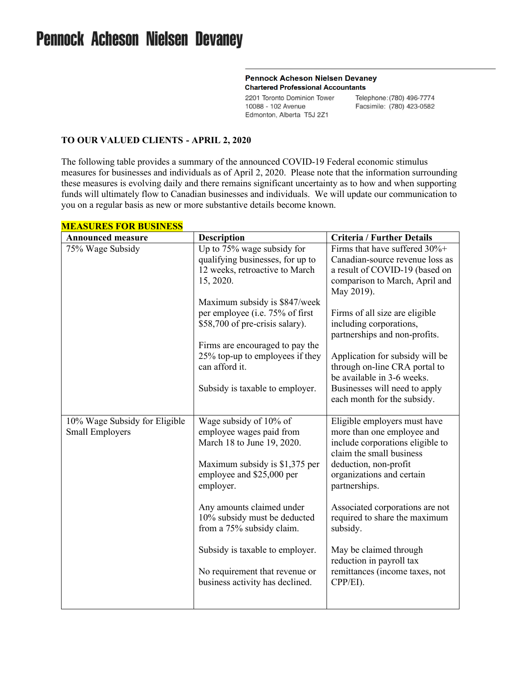# **Pennock Acheson Nielsen Devaney**

#### **Pennock Acheson Nielsen Devaney Chartered Professional Accountants**

2201 Toronto Dominion Tower 10088 - 102 Avenue Edmonton, Alberta T5J 2Z1

Telephone: (780) 496-7774 Facsimile: (780) 423-0582

#### **TO OUR VALUED CLIENTS - APRIL 2, 2020**

The following table provides a summary of the announced COVID-19 Federal economic stimulus measures for businesses and individuals as of April 2, 2020. Please note that the information surrounding these measures is evolving daily and there remains significant uncertainty as to how and when supporting funds will ultimately flow to Canadian businesses and individuals. We will update our communication to you on a regular basis as new or more substantive details become known.

| <b>Announced measure</b>                                | <b>Description</b>                                 | <b>Criteria / Further Details</b>                          |
|---------------------------------------------------------|----------------------------------------------------|------------------------------------------------------------|
| 75% Wage Subsidy                                        | Up to 75% wage subsidy for                         | Firms that have suffered 30%+                              |
|                                                         | qualifying businesses, for up to                   | Canadian-source revenue loss as                            |
|                                                         | 12 weeks, retroactive to March                     | a result of COVID-19 (based on                             |
|                                                         | 15, 2020.                                          | comparison to March, April and                             |
|                                                         |                                                    | May 2019).                                                 |
|                                                         | Maximum subsidy is \$847/week                      |                                                            |
|                                                         | per employee (i.e. 75% of first                    | Firms of all size are eligible                             |
|                                                         | \$58,700 of pre-crisis salary).                    | including corporations,                                    |
|                                                         |                                                    | partnerships and non-profits.                              |
|                                                         | Firms are encouraged to pay the                    |                                                            |
|                                                         | 25% top-up to employees if they                    | Application for subsidy will be                            |
|                                                         | can afford it.                                     | through on-line CRA portal to                              |
|                                                         |                                                    | be available in 3-6 weeks.                                 |
|                                                         | Subsidy is taxable to employer.                    | Businesses will need to apply                              |
|                                                         |                                                    | each month for the subsidy.                                |
|                                                         |                                                    |                                                            |
| 10% Wage Subsidy for Eligible<br><b>Small Employers</b> | Wage subsidy of 10% of<br>employee wages paid from | Eligible employers must have<br>more than one employee and |
|                                                         | March 18 to June 19, 2020.                         | include corporations eligible to                           |
|                                                         |                                                    | claim the small business                                   |
|                                                         | Maximum subsidy is \$1,375 per                     | deduction, non-profit                                      |
|                                                         | employee and \$25,000 per                          | organizations and certain                                  |
|                                                         | employer.                                          | partnerships.                                              |
|                                                         |                                                    |                                                            |
|                                                         | Any amounts claimed under                          | Associated corporations are not                            |
|                                                         | 10% subsidy must be deducted                       | required to share the maximum                              |
|                                                         | from a 75% subsidy claim.                          | subsidy.                                                   |
|                                                         |                                                    |                                                            |
|                                                         | Subsidy is taxable to employer.                    | May be claimed through                                     |
|                                                         |                                                    | reduction in payroll tax                                   |
|                                                         | No requirement that revenue or                     | remittances (income taxes, not                             |
|                                                         | business activity has declined.                    | CPP/EI).                                                   |
|                                                         |                                                    |                                                            |
|                                                         |                                                    |                                                            |

## **MEASURES FOR BUSINESS**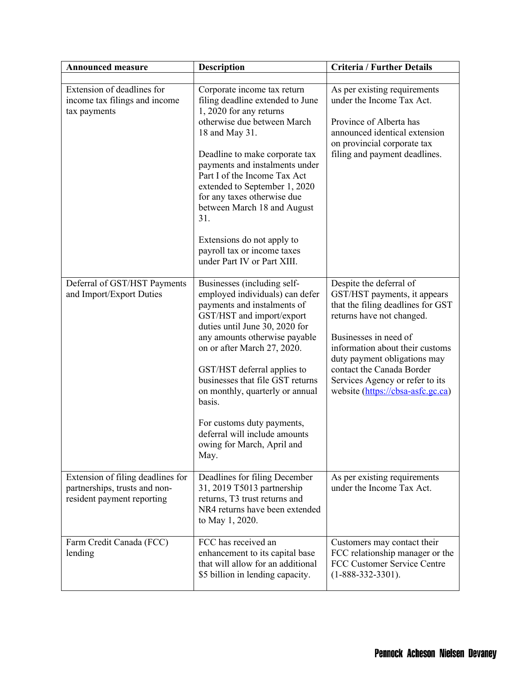| <b>Announced measure</b>                                                                         | <b>Description</b>                                                                                                                                                                                                                                                                                                                                                                                                                                | <b>Criteria / Further Details</b>                                                                                                                                                                                                                                                                                          |
|--------------------------------------------------------------------------------------------------|---------------------------------------------------------------------------------------------------------------------------------------------------------------------------------------------------------------------------------------------------------------------------------------------------------------------------------------------------------------------------------------------------------------------------------------------------|----------------------------------------------------------------------------------------------------------------------------------------------------------------------------------------------------------------------------------------------------------------------------------------------------------------------------|
| Extension of deadlines for<br>income tax filings and income<br>tax payments                      | Corporate income tax return<br>filing deadline extended to June<br>1, 2020 for any returns<br>otherwise due between March<br>18 and May 31.<br>Deadline to make corporate tax<br>payments and instalments under<br>Part I of the Income Tax Act<br>extended to September 1, 2020<br>for any taxes otherwise due<br>between March 18 and August<br>31.<br>Extensions do not apply to<br>payroll tax or income taxes<br>under Part IV or Part XIII. | As per existing requirements<br>under the Income Tax Act.<br>Province of Alberta has<br>announced identical extension<br>on provincial corporate tax<br>filing and payment deadlines.                                                                                                                                      |
| Deferral of GST/HST Payments<br>and Import/Export Duties                                         | Businesses (including self-<br>employed individuals) can defer<br>payments and instalments of<br>GST/HST and import/export<br>duties until June 30, 2020 for<br>any amounts otherwise payable<br>on or after March 27, 2020.<br>GST/HST deferral applies to<br>businesses that file GST returns<br>on monthly, quarterly or annual<br>basis.<br>For customs duty payments,<br>deferral will include amounts<br>owing for March, April and<br>May. | Despite the deferral of<br>GST/HST payments, it appears<br>that the filing deadlines for GST<br>returns have not changed.<br>Businesses in need of<br>information about their customs<br>duty payment obligations may<br>contact the Canada Border<br>Services Agency or refer to its<br>website (https://cbsa-asfc.gc.ca) |
| Extension of filing deadlines for<br>partnerships, trusts and non-<br>resident payment reporting | Deadlines for filing December<br>31, 2019 T5013 partnership<br>returns, T3 trust returns and<br>NR4 returns have been extended<br>to May 1, 2020.                                                                                                                                                                                                                                                                                                 | As per existing requirements<br>under the Income Tax Act.                                                                                                                                                                                                                                                                  |
| Farm Credit Canada (FCC)<br>lending                                                              | FCC has received an<br>enhancement to its capital base<br>that will allow for an additional<br>\$5 billion in lending capacity.                                                                                                                                                                                                                                                                                                                   | Customers may contact their<br>FCC relationship manager or the<br>FCC Customer Service Centre<br>$(1 - 888 - 332 - 3301)$ .                                                                                                                                                                                                |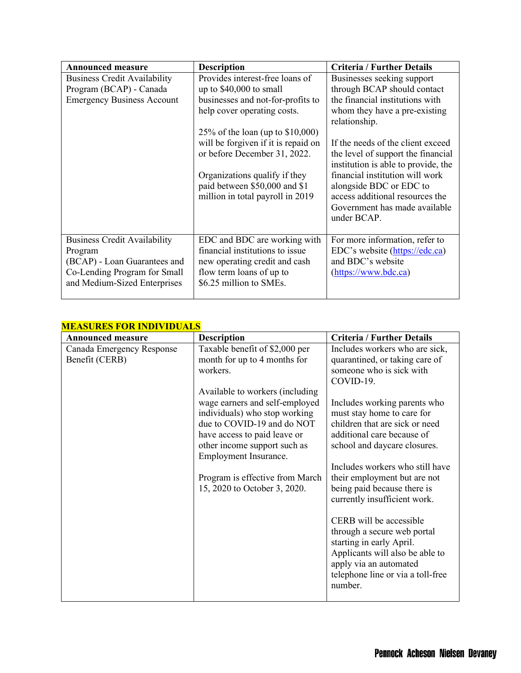| <b>Announced measure</b>            | <b>Description</b>                  | <b>Criteria / Further Details</b>   |
|-------------------------------------|-------------------------------------|-------------------------------------|
| <b>Business Credit Availability</b> | Provides interest-free loans of     | Businesses seeking support          |
| Program (BCAP) - Canada             | up to $$40,000$ to small            | through BCAP should contact         |
| <b>Emergency Business Account</b>   | businesses and not-for-profits to   | the financial institutions with     |
|                                     | help cover operating costs.         | whom they have a pre-existing       |
|                                     |                                     | relationship.                       |
|                                     | 25% of the loan (up to $$10,000$ )  |                                     |
|                                     | will be forgiven if it is repaid on | If the needs of the client exceed   |
|                                     | or before December 31, 2022.        | the level of support the financial  |
|                                     |                                     | institution is able to provide, the |
|                                     | Organizations qualify if they       | financial institution will work     |
|                                     | paid between \$50,000 and \$1       | alongside BDC or EDC to             |
|                                     | million in total payroll in 2019    | access additional resources the     |
|                                     |                                     | Government has made available       |
|                                     |                                     | under BCAP.                         |
|                                     |                                     |                                     |
| <b>Business Credit Availability</b> | EDC and BDC are working with        | For more information, refer to      |
| Program                             | financial institutions to issue     | EDC's website (https://edc.ca)      |
| (BCAP) - Loan Guarantees and        | new operating credit and cash       | and BDC's website                   |
| Co-Lending Program for Small        | flow term loans of up to            | $(\frac{https://www.bdc.ca)}$       |
| and Medium-Sized Enterprises        | \$6.25 million to SMEs.             |                                     |
|                                     |                                     |                                     |

### **MEASURES FOR INDIVIDUALS**

| <u>VIEASUNES FUN INDIVIDUALS</u>            |                                                                                                                                                                                                                                                                                                                                                                            |                                                                                                                                                                                                                                                                                                                                                                                                                                                                                                                                                                                                              |  |  |
|---------------------------------------------|----------------------------------------------------------------------------------------------------------------------------------------------------------------------------------------------------------------------------------------------------------------------------------------------------------------------------------------------------------------------------|--------------------------------------------------------------------------------------------------------------------------------------------------------------------------------------------------------------------------------------------------------------------------------------------------------------------------------------------------------------------------------------------------------------------------------------------------------------------------------------------------------------------------------------------------------------------------------------------------------------|--|--|
| <b>Announced measure</b>                    | <b>Description</b>                                                                                                                                                                                                                                                                                                                                                         | <b>Criteria / Further Details</b>                                                                                                                                                                                                                                                                                                                                                                                                                                                                                                                                                                            |  |  |
| Canada Emergency Response<br>Benefit (CERB) | Taxable benefit of \$2,000 per<br>month for up to 4 months for<br>workers.<br>Available to workers (including<br>wage earners and self-employed<br>individuals) who stop working<br>due to COVID-19 and do NOT<br>have access to paid leave or<br>other income support such as<br>Employment Insurance.<br>Program is effective from March<br>15, 2020 to October 3, 2020. | Includes workers who are sick,<br>quarantined, or taking care of<br>someone who is sick with<br>COVID-19.<br>Includes working parents who<br>must stay home to care for<br>children that are sick or need<br>additional care because of<br>school and daycare closures.<br>Includes workers who still have<br>their employment but are not<br>being paid because there is<br>currently insufficient work.<br>CERB will be accessible<br>through a secure web portal<br>starting in early April.<br>Applicants will also be able to<br>apply via an automated<br>telephone line or via a toll-free<br>number. |  |  |